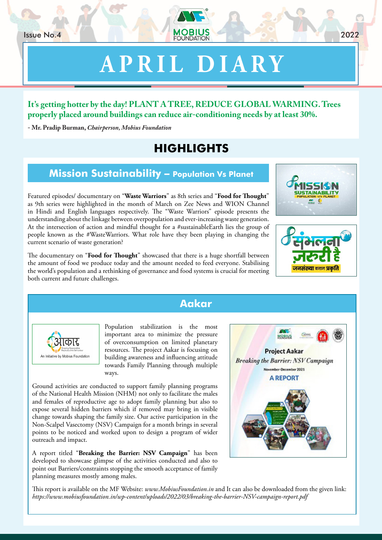# **APRIL DIARY**

#### **It's getting hotter by the day! PLANT A TREE, REDUCE GLOBAL WARMING. Trees properly placed around buildings can reduce air-conditioning needs by at least 30%.**

**- Mr. Pradip Burman,** *Chairperson, Mobius Foundation*

# **HIGHLIGHTS**

#### **Mission Sustainability – Population Vs Planet**

Featured episodes/ documentary on "**Waste Warriors**" as 8th series and "**Food for Thought**" as 9th series were highlighted in the month of March on Zee News and WION Channel in Hindi and English languages respectively. The "Waste Warriors" episode presents the understanding about the linkage between overpopulation and ever-increasing waste generation. At the intersection of action and mindful thought for a #sustainableEarth lies the group of people known as the #WasteWarriors. What role have they been playing in changing the current scenario of waste generation?

The documentary on "**Food for Thought**" showcased that there is a huge shortfall between the amount of food we produce today and the amount needed to feed everyone. Stabilising the world's population and a rethinking of governance and food systems is crucial for meeting both current and future challenges.

#### **Aakar**

Population stabilization is the most important area to minimize the pressure of overconsumption on limited planetary resources. The project Aakar is focusing on building awareness and influencing attitude towards Family Planning through multiple ways.

Ground activities are conducted to support family planning programs of the National Health Mission (NHM) not only to facilitate the males and females of reproductive age to adopt family planning but also to expose several hidden barriers which if removed may bring in visible change towards shaping the family size. Our active participation in the Non-Scalpel Vasectomy (NSV) Campaign for a month brings in several points to be noticed and worked upon to design a program of wider outreach and impact.

गकार

An Initiative by Mobius Foundation

A report titled "**Breaking the Barrier: NSV Campaign**" has been developed to showcase glimpse of the activities conducted and also to point out Barriers/constraints stopping the smooth acceptance of family planning measures mostly among males.

This report is available on the MF Website: *www.MobiusFoundation.in* and It can also be downloaded from the given link: *https://www.mobiusfoundation.in/wp-content/uploads/2022/03/breaking-the-barrier-NSV-campaign-report.pdf*